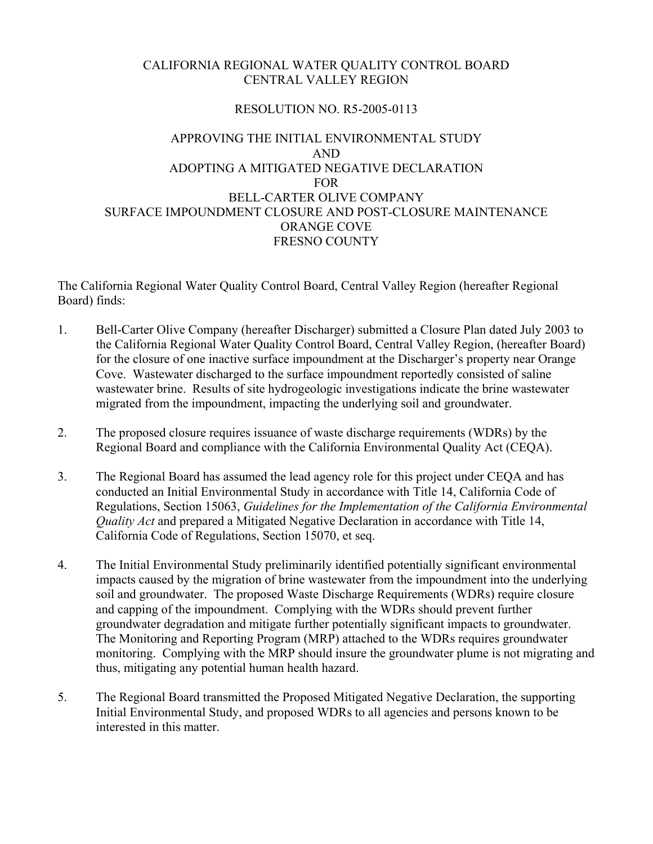## CALIFORNIA REGIONAL WATER QUALITY CONTROL BOARD CENTRAL VALLEY REGION

## RESOLUTION NO. R5-2005-0113

## APPROVING THE INITIAL ENVIRONMENTAL STUDY AND ADOPTING A MITIGATED NEGATIVE DECLARATION FOR BELL-CARTER OLIVE COMPANY SURFACE IMPOUNDMENT CLOSURE AND POST-CLOSURE MAINTENANCE ORANGE COVE FRESNO COUNTY

The California Regional Water Quality Control Board, Central Valley Region (hereafter Regional Board) finds:

- 1. Bell-Carter Olive Company (hereafter Discharger) submitted a Closure Plan dated July 2003 to the California Regional Water Quality Control Board, Central Valley Region, (hereafter Board) for the closure of one inactive surface impoundment at the Discharger's property near Orange Cove. Wastewater discharged to the surface impoundment reportedly consisted of saline wastewater brine. Results of site hydrogeologic investigations indicate the brine wastewater migrated from the impoundment, impacting the underlying soil and groundwater.
- 2. The proposed closure requires issuance of waste discharge requirements (WDRs) by the Regional Board and compliance with the California Environmental Quality Act (CEQA).
- 3. The Regional Board has assumed the lead agency role for this project under CEQA and has conducted an Initial Environmental Study in accordance with Title 14, California Code of Regulations, Section 15063, *Guidelines for the Implementation of the California Environmental Quality Act* and prepared a Mitigated Negative Declaration in accordance with Title 14, California Code of Regulations, Section 15070, et seq.
- 4. The Initial Environmental Study preliminarily identified potentially significant environmental impacts caused by the migration of brine wastewater from the impoundment into the underlying soil and groundwater. The proposed Waste Discharge Requirements (WDRs) require closure and capping of the impoundment. Complying with the WDRs should prevent further groundwater degradation and mitigate further potentially significant impacts to groundwater. The Monitoring and Reporting Program (MRP) attached to the WDRs requires groundwater monitoring. Complying with the MRP should insure the groundwater plume is not migrating and thus, mitigating any potential human health hazard.
- 5. The Regional Board transmitted the Proposed Mitigated Negative Declaration, the supporting Initial Environmental Study, and proposed WDRs to all agencies and persons known to be interested in this matter.